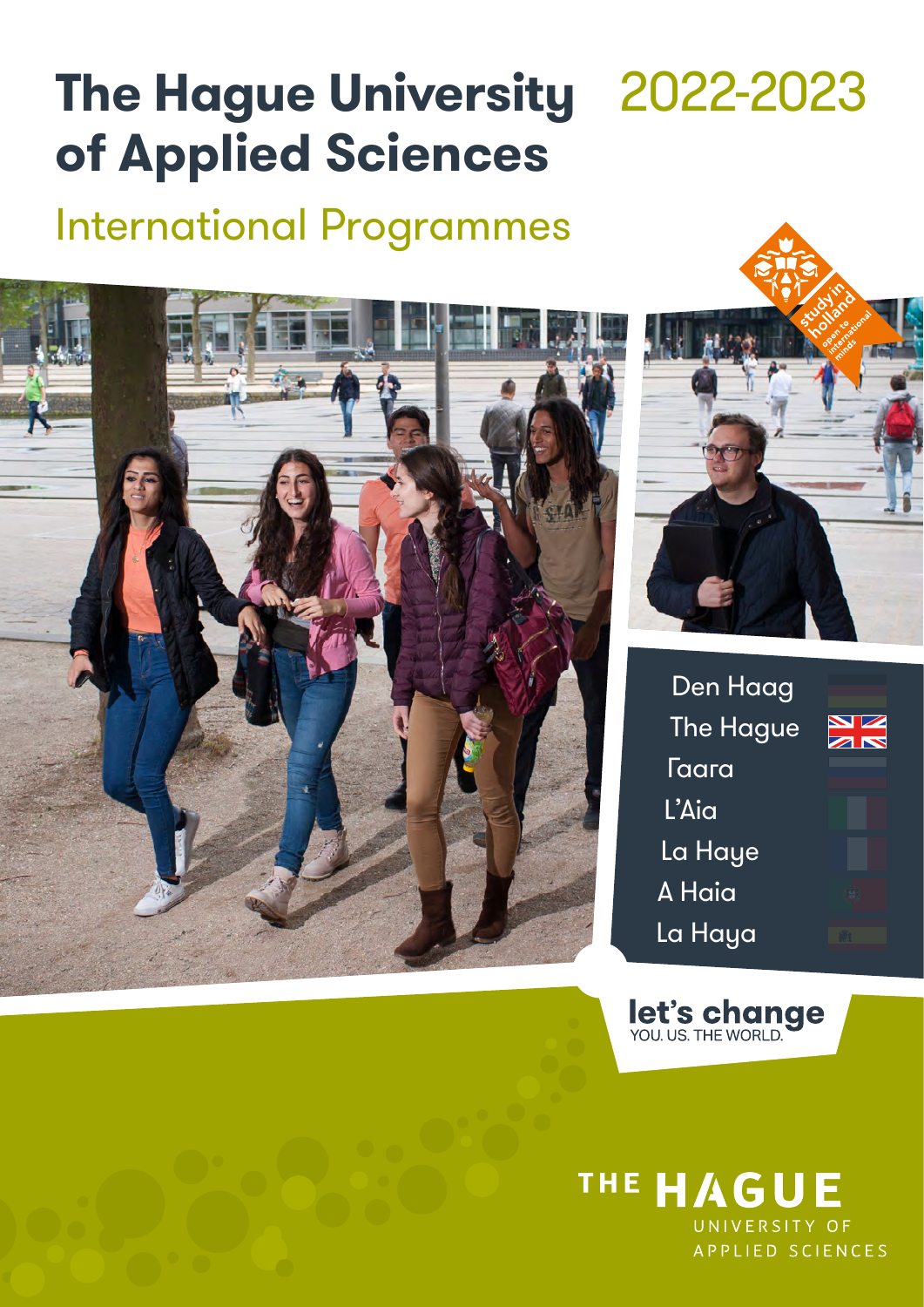# **The Hague University** 2022-2023 **of Applied Sciences**

# International Programmes





| Den Haag         |  |
|------------------|--|
| <b>The Hague</b> |  |
| <b>Taara</b>     |  |
| L'Aia            |  |
| La Haye          |  |
| A Haia           |  |
| La Haya          |  |
|                  |  |

let's change

THE HAGUE UNIVERSITY OF APPLIED SCIENCES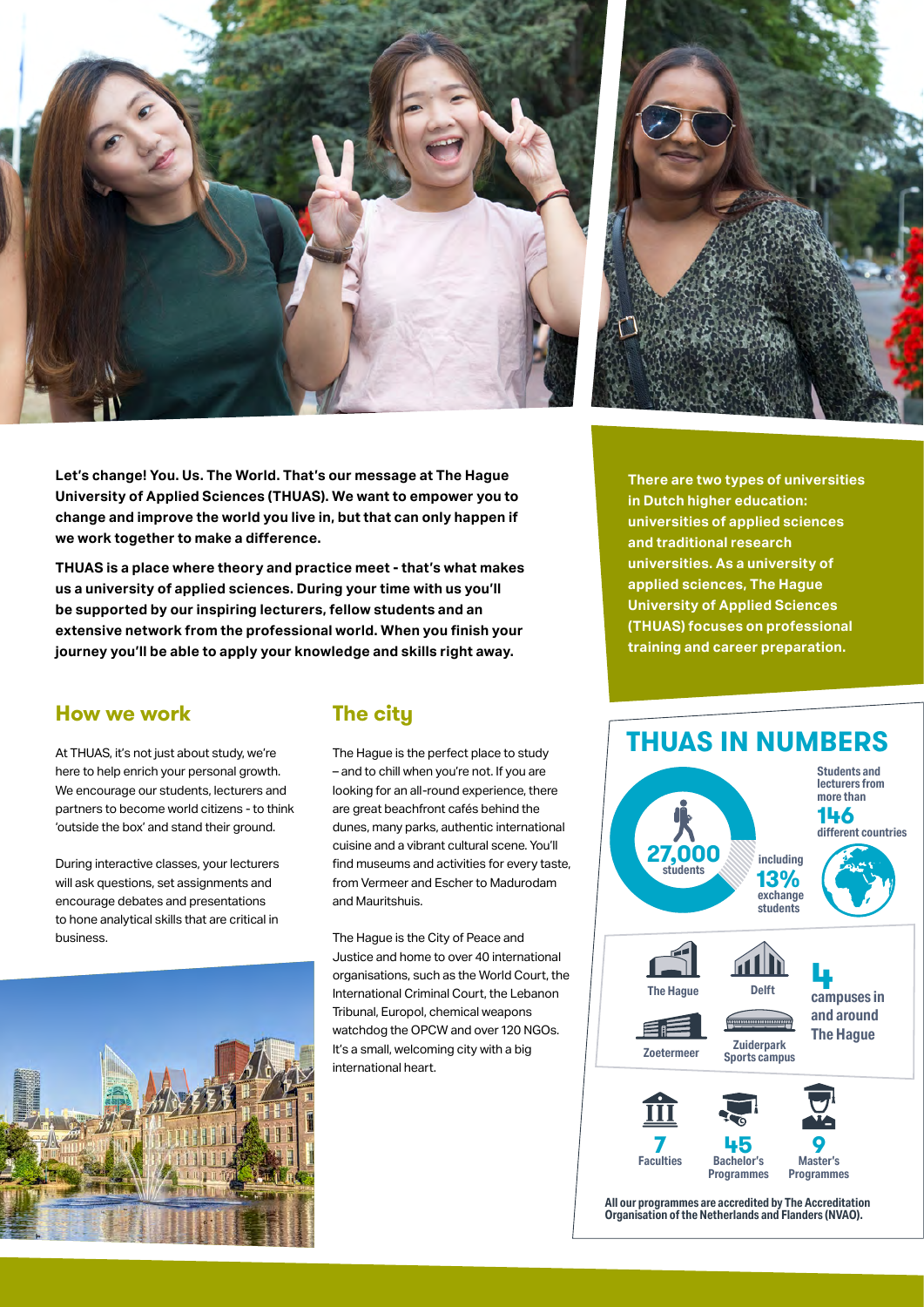



**Let's change! You. Us. The World. That's our message at The Hague University of Applied Sciences (THUAS). We want to empower you to change and improve the world you live in, but that can only happen if we work together to make a difference.**

**THUAS is a place where theory and practice meet - that's what makes us a university of applied sciences. During your time with us you'll be supported by our inspiring lecturers, fellow students and an extensive network from the professional world. When you finish your journey you'll be able to apply your knowledge and skills right away.** 

## **How we work**

At THUAS, it's not just about study, we're here to help enrich your personal growth. We encourage our students, lecturers and partners to become world citizens - to think 'outside the box' and stand their ground.

During interactive classes, your lecturers will ask questions, set assignments and encourage debates and presentations to hone analytical skills that are critical in business.



# **The city**

The Hague is the perfect place to study – and to chill when you're not. If you are looking for an all-round experience, there are great beachfront cafés behind the dunes, many parks, authentic international cuisine and a vibrant cultural scene. You'll find museums and activities for every taste, from Vermeer and Escher to Madurodam and Mauritshuis.

The Hague is the City of Peace and Justice and home to over 40 international organisations, such as the World Court, the International Criminal Court, the Lebanon Tribunal, Europol, chemical weapons watchdog the OPCW and over 120 NGOs. It's a small, welcoming city with a big international heart.

**There are two types of universities in Dutch higher education: universities of applied sciences and traditional research universities. As a university of applied sciences, The Hague University of Applied Sciences (THUAS) focuses on professional training and career preparation.**

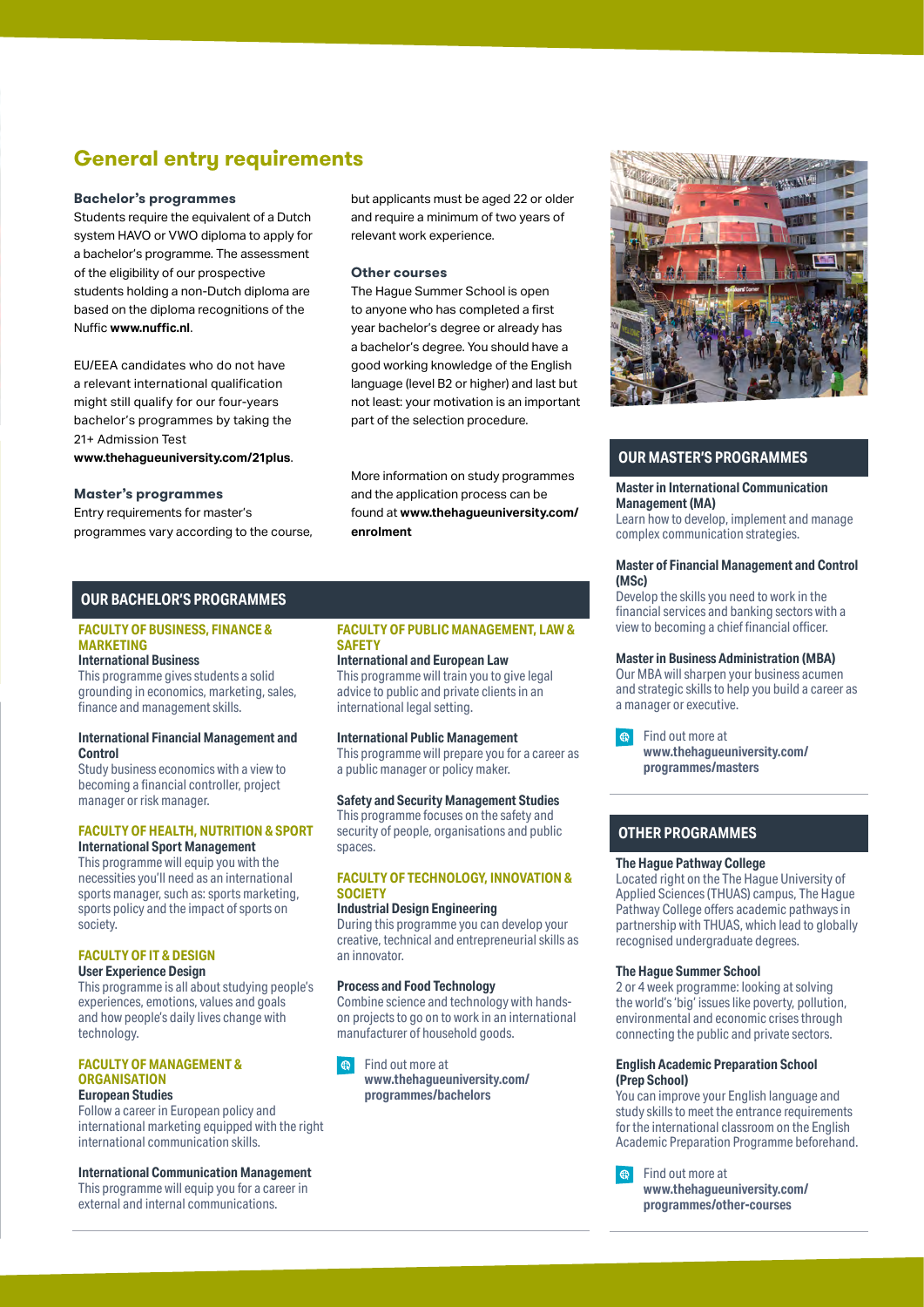# **General entry requirements**

#### **Bachelor's programmes**

Students require the equivalent of a Dutch system HAVO or VWO diploma to apply for a bachelor's programme. The assessment of the eligibility of our prospective students holding a non-Dutch diploma are based on the diploma recognitions of the Nuffic **[www.nuffic.nl](http://www.nuffic.nl)**.

EU/EEA candidates who do not have a relevant international qualification might still qualify for our four-years bachelor's programmes by taking the 21+ Admission Test

**[www.thehagueuniversity.com/21plus](http://www.thehagueuniversity.com/21plus)**.

#### **Master's programmes**

Entry requirements for master's programmes vary according to the course, but applicants must be aged 22 or older and require a minimum of two years of relevant work experience.

## **Other courses**

The Hague Summer School is open to anyone who has completed a first year bachelor's degree or already has a bachelor's degree. You should have a good working knowledge of the English language (level B2 or higher) and last but not least: your motivation is an important part of the selection procedure.

More information on study programmes and the application process can be found at **[www.thehagueuniversity.com/](http://www.thehagueuniversity.com/enrolment) [enrolment](http://www.thehagueuniversity.com/enrolment)**

## **OUR BACHELOR'S PROGRAMMES**

## **FACULTY OF BUSINESS, FINANCE & MARKETING**

## **International Business**

This programme gives students a solid grounding in economics, marketing, sales, finance and management skills.

#### **International Financial Management and Control**

Study business economics with a view to becoming a financial controller, project manager or risk manager.

## **FACULTY OF HEALTH, NUTRITION & SPORT International Sport Management**

This programme will equip you with the necessities you'll need as an international sports manager, such as: sports marketing, sports policy and the impact of sports on society.

## **FACULTY OF IT & DESIGN**

## **User Experience Design**

This programme is all about studying people's experiences, emotions, values and goals and how people's daily lives change with technology.

#### **FACULTY OF MANAGEMENT & ORGANISATION European Studies**

Follow a career in European policy and international marketing equipped with the right international communication skills.

## **International Communication Management**

This programme will equip you for a career in external and internal communications.

### **FACULTY OF PUBLIC MANAGEMENT, LAW & SAFETY**

**International and European Law** This programme will train you to give legal advice to public and private clients in an international legal setting.

#### **International Public Management**

This programme will prepare you for a career as a public manager or policy maker.

## **Safety and Security Management Studies**

This programme focuses on the safety and security of people, organisations and public spaces.

## **FACULTY OF TECHNOLOGY, INNOVATION & SOCIETY**

## **Industrial Design Engineering**

During this programme you can develop your creative, technical and entrepreneurial skills as an innovator.

#### **Process and Food Technology**

Combine science and technology with handson projects to go on to work in an international manufacturer of household goods.

**G** Find out more at **[www.thehagueuniversity.com/](http://www.thehagueuniversity.com/programmes/bachelors) [programmes/bachelors](http://www.thehagueuniversity.com/programmes/bachelors)**



## **OUR MASTER'S PROGRAMMES**

## **Master in International Communication Management (MA)**

Learn how to develop, implement and manage complex communication strategies.

## **Master of Financial Management and Control (MSc)**

Develop the skills you need to work in the financial services and banking sectors with a view to becoming a chief financial officer.

## **Master in Business Administration (MBA)**

Our MBA will sharpen your business acumen and strategic skills to help you build a career as a manager or executive.

 $\bigoplus$  Find out more at **[www.thehagueuniversity.com/](https://www.thehagueuniversity.com/programmes/masters/language/en) [programmes/masters](https://www.thehagueuniversity.com/programmes/masters/language/en)**

## **OTHER PROGRAMMES**

#### **The Hague Pathway College**

Located right on the The Hague University of Applied Sciences (THUAS) campus, The Hague Pathway College offers academic pathways in partnership with THUAS, which lead to globally recognised undergraduate degrees.

## **The Hague Summer School**

2 or 4 week programme: looking at solving the world's 'big' issues like poverty, pollution, environmental and economic crises through connecting the public and private sectors.

## **English Academic Preparation School (Prep School)**

You can improve your English language and study skills to meet the entrance requirements for the international classroom on the English Academic Preparation Programme beforehand.

**R** Find out more at **[www.thehagueuniversity.com/](http://www.thehagueuniversity.com/programmes/other-courses) [programmes/other-courses](http://www.thehagueuniversity.com/programmes/other-courses)**